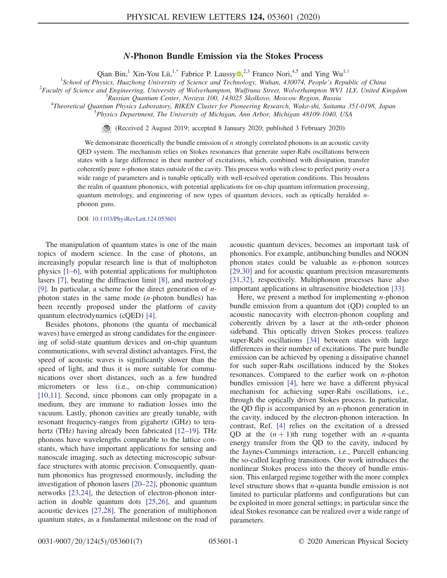## N-Phonon Bundle Emission via the Stokes Process

Qian Bin,<sup>1</sup> Xin-You Lü,<sup>[1,\\*](#page-4-0)</sup> Fabrice P. Laussy  $\mathbb{D}^{2,3}$  Franco Nori,<sup>4,5</sup> and Ying Wu<sup>1,[†](#page-4-1)</sup>

<span id="page-0-0"></span><sup>1</sup>School of Physics, Huazhong University of Science and Technology, Wuhan, 430074, People's Republic of China<br><sup>2</sup> Easylty of Science and Engineering, University of Welverkampton, Wulfaung Street, Wolverkampton WVL UV, Uni

 ${}^{2}$ Faculty of Science and Engineering, University of Wolverhampton, Wulfruna Street, Wolverhampton WV1 1LY, United Kingdom

 ${}^{3}R$ ussian Quantum Center, Novaya 100, 143025 Skolkovo, Moscow Region, Russia

<sup>4</sup>Theoretical Quantum Physics Laboratory, RIKEN Cluster for Pioneering Research, Wako-shi, Saitama 351-0198, Japan

 $5$ Physics Department, The University of Michigan, Ann Arbor, Michigan 48109-1040, USA

(Received 2 August 2019; accepted 8 January 2020; published 3 February 2020)  $\bigcirc$ 

We demonstrate theoretically the bundle emission of  $n$  strongly correlated phonons in an acoustic cavity QED system. The mechanism relies on Stokes resonances that generate super-Rabi oscillations between states with a large difference in their number of excitations, which, combined with dissipation, transfer coherently pure n-phonon states outside of the cavity. This process works with close to perfect purity over a wide range of parameters and is tunable optically with well-resolved operation conditions. This broadens the realm of quantum phononics, with potential applications for on-chip quantum information processing, quantum metrology, and engineering of new types of quantum devices, such as optically heralded  $n$ phonon guns.

DOI: [10.1103/PhysRevLett.124.053601](https://doi.org/10.1103/PhysRevLett.124.053601)

The manipulation of quantum states is one of the main topics of modern science. In the case of photons, an increasingly popular research line is that of multiphoton physics [\[1](#page-4-2)–6], with potential applications for multiphoton lasers [\[7\]](#page-4-3), beating the diffraction limit [\[8\],](#page-4-4) and metrology [\[9\]](#page-4-5). In particular, a scheme for the direct generation of  $n$ photon states in the same mode (n-photon bundles) has been recently proposed under the platform of cavity quantum electrodynamics (cQED) [\[4\]](#page-4-6).

Besides photons, phonons (the quanta of mechanical waves) have emerged as strong candidates for the engineering of solid-state quantum devices and on-chip quantum communications, with several distinct advantages. First, the speed of acoustic waves is significantly slower than the speed of light, and thus it is more suitable for communications over short distances, such as a few hundred micrometers or less (i.e., on-chip communication) [\[10,11\]](#page-4-7). Second, since phonons can only propagate in a medium, they are immune to radiation losses into the vacuum. Lastly, phonon cavities are greatly tunable, with resonant frequency-ranges from gigahertz (GHz) to tera-hertz (THz) having already been fabricated [\[12](#page-4-8)–19]. THz phonons have wavelengths comparable to the lattice constants, which have important applications for sensing and nanoscale imaging, such as detecting microscopic subsurface structures with atomic precision. Consequently, quantum phononics has progressed enormously, including the investigation of phonon lasers [\[20](#page-5-0)–22], phononic quantum networks [\[23,24\],](#page-5-1) the detection of electron-phonon interaction in double quantum dots [\[25,26\]](#page-5-2), and quantum acoustic devices [\[27,28\].](#page-5-3) The generation of multiphonon quantum states, as a fundamental milestone on the road of acoustic quantum devices, becomes an important task of phononics. For example, antibunching bundles and NOON phonon states could be valuable as  $n$ -phonon sources [\[29,30\]](#page-5-4) and for acoustic quantum precision measurements [\[31,32\]](#page-5-5), respectively. Multiphonon processes have also important applications in ultrasensitive biodetection [\[33\].](#page-5-6)

Here, we present a method for implementing  $n$ -phonon bundle emission from a quantum dot (QD) coupled to an acoustic nanocavity with electron-phonon coupling and coherently driven by a laser at the nth-order phonon sideband. This optically driven Stokes process realizes super-Rabi oscillations [\[34\]](#page-5-7) between states with large differences in their number of excitations. The pure bundle emission can be achieved by opening a dissipative channel for such super-Rabi oscillations induced by the Stokes resonances. Compared to the earlier work on  $n$ -photon bundles emission [\[4\],](#page-4-6) here we have a different physical mechanism for achieving super-Rabi oscillations, i.e., through the optically driven Stokes process. In particular, the QD flip is accompanied by an  $n$ -phonon generation in the cavity, induced by the electron-phonon interaction. In contrast, Ref. [\[4\]](#page-4-6) relies on the excitation of a dressed QD at the  $(n + 1)$ th rung together with an *n*-quanta energy transfer from the QD to the cavity, induced by the Jaynes-Cummings interaction, i.e., Purcell enhancing the so-called leapfrog transitions. Our work introduces the nonlinear Stokes process into the theory of bundle emission. This enlarged regime together with the more complex level structure shows that n-quanta bundle emission is not limited to particular platforms and configurations but can be exploited in more general settings; in particular since the ideal Stokes resonance can be realized over a wide range of parameters.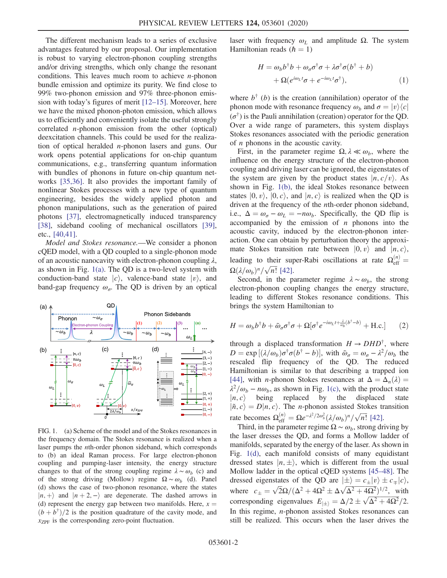The different mechanism leads to a series of exclusive advantages featured by our proposal. Our implementation is robust to varying electron-phonon coupling strengths and/or driving strengths, which only change the resonant conditions. This leaves much room to achieve  $n$ -phonon bundle emission and optimize its purity. We find close to 99% two-phonon emission and 97% three-phonon emission with today's figures of merit [12–[15\].](#page-4-8) Moreover, here we have the mixed phonon-photon emission, which allows us to efficiently and conveniently isolate the useful strongly correlated n-phonon emission from the other (optical) deexcitation channels. This could be used for the realization of optical heralded n-phonon lasers and guns. Our work opens potential applications for on-chip quantum communications, e.g., transferring quantum information with bundles of phonons in future on-chip quantum networks [\[35,36\].](#page-5-8) It also provides the important family of nonlinear Stokes processes with a new type of quantum engineering, besides the widely applied photon and phonon manipulations, such as the generation of paired photons [\[37\],](#page-5-9) electromagnetically induced transparency [\[38\]](#page-5-10), sideband cooling of mechanical oscillators [\[39\]](#page-5-11), etc., [\[40,41\]](#page-5-12).

Model and Stokes resonance.—We consider a phonon cQED model, with a QD coupled to a single-phonon mode of an acoustic nanocavity with electron-phonon coupling  $\lambda$ , as shown in Fig. [1\(a\)](#page-1-0). The QD is a two-level system with conduction-band state  $|c\rangle$ , valence-band state  $|v\rangle$ , and band-gap frequency  $\omega_{\sigma}$ . The QD is driven by an optical

<span id="page-1-0"></span>

FIG. 1. (a) Scheme of the model and of the Stokes resonances in the frequency domain. The Stokes resonance is realized when a laser pumps the nth-order phonon sideband, which corresponds to (b) an ideal Raman process. For large electron-phonon coupling and pumping-laser intensity, the energy structure changes to that of the strong coupling regime  $\lambda \sim \omega_b$  (c) and of the strong driving (Mollow) regime  $\Omega \sim \omega_b$  (d). Panel (d) shows the case of two-phonon resonance, where the states  $|n, +\rangle$  and  $|n + 2, -\rangle$  are degenerate. The dashed arrows in (d) represent the energy gap between two manifolds. Here,  $x =$  $(b+b^{\dagger})/2$  is the position quadrature of the cavity mode, and  $x_{ZPF}$  is the corresponding zero-point fluctuation.

laser with frequency  $ω<sub>L</sub>$  and amplitude Ω. The system Hamiltonian reads  $(h = 1)$ 

$$
H = \omega_b b^{\dagger} b + \omega_{\sigma} \sigma^{\dagger} \sigma + \lambda \sigma^{\dagger} \sigma (b^{\dagger} + b) + \Omega (e^{i\omega_L t} \sigma + e^{-i\omega_L t} \sigma^{\dagger}),
$$
 (1)

where  $b^{\dagger}$  (b) is the creation (annihilation) operator of the phonon mode with resonance frequency  $\omega_b$  and  $\sigma = |v\rangle\langle c|$  $(\sigma^{\dagger})$  is the Pauli annihilation (creation) operator for the QD. Over a wide range of parameters, this system displays Stokes resonances associated with the periodic generation of n phonons in the acoustic cavity.

First, in the parameter regime  $\Omega, \lambda \ll \omega_b$ , where the influence on the energy structure of the electron-phonon coupling and driving laser can be ignored, the eigenstates of the system are given by the product states  $|n, c/v\rangle$ . As shown in Fig. [1\(b\),](#page-1-0) the ideal Stokes resonance between states  $|0, v\rangle$ ,  $|0, c\rangle$ , and  $|n, c\rangle$  is realized when the QD is driven at the frequency of the *n*th-order phonon sideband, i.e.,  $\Delta = \omega_{\sigma} - \omega_{L} = -n\omega_{b}$ . Specifically, the QD flip is accompanied by the emission of  $n$  phonons into the acoustic cavity, induced by the electron-phonon interaction. One can obtain by perturbation theory the approximate Stokes transition rate between  $|0, v\rangle$  and  $|n, c\rangle$ , leading to their super-Rabi oscillations at rate  $\Omega_{\text{eff}}^{(n)} =$  $\Omega(\lambda/\omega_b)^n/\sqrt{n!}$  [\[42\].](#page-5-13)

Second, in the parameter regime  $\lambda \sim \omega_b$ , the strong electron-phonon coupling changes the energy structure, leading to different Stokes resonance conditions. This brings the system Hamiltonian to

$$
H = \omega_b b^{\dagger} b + \tilde{\omega}_\sigma \sigma^{\dagger} \sigma + \Omega [\sigma^{\dagger} e^{-i\omega_L t + \frac{\lambda}{\omega_b} (b^{\dagger} - b)} + \text{H.c.}] \tag{2}
$$

through a displaced transformation  $H \to DHD^{\dagger}$ , where  $D = \exp\left[ (\lambda/\omega_b) \sigma^{\dagger} \sigma(b^{\dagger} - b) \right]$ , with  $\tilde{\omega}_{\sigma} = \omega_{\sigma} - \lambda^2/\omega_b$  the rescaled flip frequency of the QD. The reduced Hamiltonian is similar to that describing a trapped ion [\[44\]](#page-5-14), with *n*-phonon Stokes resonances at  $\Delta = \Delta_n(\lambda) =$  $\lambda^2/\omega_b - n\omega_b$ , as shown in Fig. [1\(c\),](#page-1-0) with the product state  $|n, c\rangle$  being replaced by the displaced state  $|\tilde{n}, c\rangle = D|n, c\rangle$ . The *n*-phonon assisted Stokes transition rate becomes  $\Omega_{\text{eff}}^{(n)} = \Omega e^{-\lambda^2/2\omega_b^2} (\lambda/\omega_b)^n / \sqrt{n!}$  [\[42\]](#page-5-13).

Third, in the parameter regime  $\Omega \sim \omega_b$ , strong driving by the laser dresses the QD, and forms a Mollow ladder of manifolds, separated by the energy of the laser. As shown in Fig. [1\(d\),](#page-1-0) each manifold consists of many equidistant dressed states  $|n, \pm \rangle$ , which is different from the usual Mollow ladder in the optical cQED systems [45–[48\].](#page-6-0) The dressed eigenstates of the QD are  $|\pm\rangle = c_{\pm}|v\rangle \pm c_{\mp}|c\rangle$ , where  $c_{\pm} = \sqrt{2}\Omega/(\Delta^2 + 4\Omega^2 \pm \Delta\sqrt{\Delta^2 + 4\Omega^2})^{1/2}$ , with corresponding eigenvalues  $E_{\vert \pm \rangle} = \Delta/2 \pm \sqrt{\Delta^2 + 4\Omega^2}/2$ . In this regime, n-phonon assisted Stokes resonances can still be realized. This occurs when the laser drives the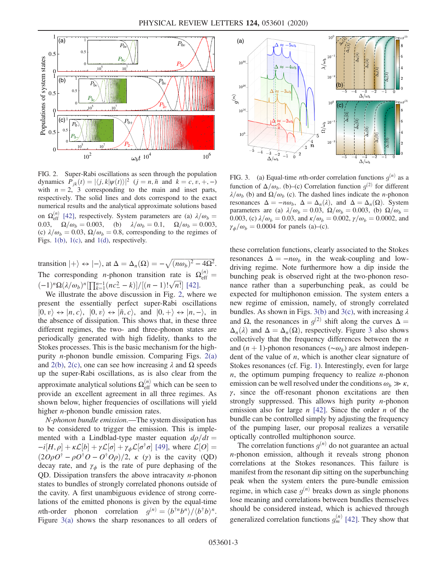<span id="page-2-0"></span>

FIG. 2. Super-Rabi oscillations as seen through the population dynamics  $P_{jk}(t) = |\langle j, k | \psi(t) \rangle|^2$   $(j = n, \tilde{n}$  and  $k = c, v, +, -)$ with  $n = 2$ , 3 corresponding to the main and inset parts, respectively. The solid lines and dots correspond to the exact numerical results and the analytical approximate solutions based on  $\Omega_{\text{eff}}^{(n)}$  [\[42\]](#page-5-13), respectively. System parameters are (a)  $\lambda/\omega_b =$ 0.03,  $\Omega/\omega_b = 0.003$ , (b)  $\lambda/\omega_b = 0.1$ ,  $\Omega/\omega_b = 0.003$ , (c)  $\lambda/\omega_b = 0.03$ ,  $\Omega/\omega_b = 0.8$ , corresponding to the regimes of Figs. [1\(b\),](#page-1-0) [1\(c\)](#page-1-0), and [1\(d\),](#page-1-0) respectively.

transition  $|+\rangle \leftrightarrow |-\rangle$ , at  $\Delta = \Delta_n(\Omega) = -\sqrt{(n\omega_b)^2 - 4\Omega^2}$ . The corresponding *n*-phonon transition rate is  $\Omega_{\text{eff}}^{(n)} =$  $\frac{(-1)^n \Omega(\lambda/\omega_b)^n \prod_{k=1}^{n-1} (nc^2 - k)}{[(n-1)! \sqrt{n}]}$  [\[42\]](#page-5-13).

We illustrate the above discussion in Fig. [2,](#page-2-0) where we present the essentially perfect super-Rabi oscillations  $|0, v\rangle \leftrightarrow |n, c\rangle, |0, v\rangle \leftrightarrow |\tilde{n}, c\rangle, \text{ and } |0, +\rangle \leftrightarrow |n, -\rangle, \text{ in }$ the absence of dissipation. This shows that, in these three different regimes, the two- and three-phonon states are periodically generated with high fidelity, thanks to the Stokes processes. This is the basic mechanism for the highpurity *n*-phonon bundle emission. Comparing Figs.  $2(a)$ and [2\(b\)](#page-2-0), [2\(c\)](#page-2-0), one can see how increasing  $\lambda$  and  $\Omega$  speeds up the super-Rabi oscillations, as is also clear from the approximate analytical solutions  $\Omega_{\text{eff}}^{(n)}$  which can be seen to provide an excellent agreement in all three regimes. As shown below, higher frequencies of oscillations will yield higher *n*-phonon bundle emission rates.

N-phonon bundle emission.—The system dissipation has to be considered to trigger the emission. This is implemented with a Lindblad-type master equation  $d\rho/dt =$  $-i[H,\rho] + \kappa \mathcal{L}[b] + \gamma \mathcal{L}[\sigma] + \gamma_{\phi} \mathcal{L}[\sigma^{\dagger} \sigma]$  [\[49\]](#page-6-1), where  $\mathcal{L}[O] =$  $(2O\rho O^{\dagger} - \rho O^{\dagger} O - O^{\dagger} O \rho)/2$ , κ (γ) is the cavity (QD) decay rate, and  $\gamma_{\phi}$  is the rate of pure dephasing of the QD. Dissipation transfers the above intracavity  $n$ -phonon states to bundles of strongly correlated phonons outside of the cavity. A first unambiguous evidence of strong correlations of the emitted phonons is given by the equal-time nth-order phonon correlation  $q^{(n)} = \langle b^{\dagger n}b^n \rangle / \langle b^{\dagger}b \rangle^n$ . Figure [3\(a\)](#page-2-1) shows the sharp resonances to all orders of

<span id="page-2-1"></span>

FIG. 3. (a) Equal-time *n*th-order correlation functions  $q^{(n)}$  as a function of  $\Delta/\omega_b$ . (b)–(c) Correlation function  $q^{(2)}$  for different  $\lambda/\omega_b$  (b) and  $\Omega/\omega_b$  (c). The dashed lines indicate the *n*-phonon resonances  $\Delta = -n\omega_b$ ,  $\Delta = \Delta_n(\lambda)$ , and  $\Delta = \Delta_n(\Omega)$ . System parameters are (a)  $\lambda/\omega_b = 0.03$ ,  $\Omega/\omega_b = 0.003$ , (b)  $\Omega/\omega_b =$ 0.003, (c)  $\lambda/\omega_b = 0.03$ , and  $\kappa/\omega_b = 0.002$ ,  $\gamma/\omega_b = 0.0002$ , and  $\gamma_{\phi}/\omega_{b} = 0.0004$  for panels (a)–(c).

these correlation functions, clearly associated to the Stokes resonances  $\Delta = -n\omega_b$  in the weak-coupling and lowdriving regime. Note furthermore how a dip inside the bunching peak is observed right at the two-phonon resonance rather than a superbunching peak, as could be expected for multiphonon emission. The system enters a new regime of emission, namely, of strongly correlated bundles. As shown in Figs. [3\(b\)](#page-2-1) and [3\(c\)](#page-2-1), with increasing  $\lambda$ and Ω, the resonances in  $g^{(2)}$  shift along the curves  $\Delta =$  $\Delta_n(\lambda)$  and  $\Delta = \Delta_n(\Omega)$ , respectively. Figure [3](#page-2-1) also shows collectively that the frequency differences between the  $n$ and  $(n + 1)$ -phonon resonances ( $~\sim \omega_b$ ) are almost independent of the value of  $n$ , which is another clear signature of Stokes resonances (cf. Fig. [1\)](#page-1-0). Interestingly, even for large  $n$ , the optimum pumping frequency to realize  $n$ -phonon emission can be well resolved under the conditions  $\omega_b \gg \kappa$ ,  $\gamma$ , since the off-resonant phonon excitations are then strongly suppressed. This allows high purity  $n$ -phonon emission also for large  $n$  [\[42\]](#page-5-13). Since the order  $n$  of the bundle can be controlled simply by adjusting the frequency of the pumping laser, our proposal realizes a versatile optically controlled multiphonon source.

The correlation functions  $g^{(n)}$  do not guarantee an actual n-phonon emission, although it reveals strong phonon correlations at the Stokes resonances. This failure is manifest from the resonant dip sitting on the superbunching peak when the system enters the pure-bundle emission regime, in which case  $q^{(n)}$  breaks down as single phonons lose meaning and correlations between bundles themselves should be considered instead, which is achieved through generalized correlation functions  $g_m^{(n)}$  [\[42\]](#page-5-13). They show that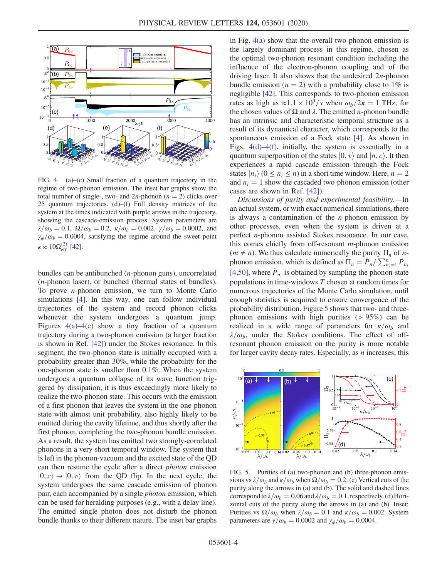<span id="page-3-0"></span>

FIG. 4. (a)–(c) Small fraction of a quantum trajectory in the regime of two-phonon emission. The inset bar graphs show the total number of single-, two- and  $2n$ -phonon ( $n = 2$ ) clicks over 25 quantum trajectories. (d)–(f) Full density matrices of the system at the times indicated with purple arrows in the trajectory, showing the cascade-emission process. System parameters are  $\lambda/\omega_b = 0.1, \ \Omega/\omega_b = 0.2, \ \kappa/\omega_b = 0.002, \ \gamma/\omega_b = 0.0002, \text{ and}$  $\gamma_{\phi}/\omega_{b} = 0.0004$ , satisfying the regime around the sweet point  $\kappa \approx 10 \Omega_{\text{eff}}^{(2)}$  [\[42\].](#page-5-13)

bundles can be antibunched (n-phonon guns), uncorrelated (n-phonon laser), or bunched (thermal states of bundles). To prove  $n$ -phonon emission, we turn to Monte Carlo simulations [\[4\]](#page-4-6). In this way, one can follow individual trajectories of the system and record phonon clicks whenever the system undergoes a quantum jump. Figures  $4(a) - 4(c)$  $4(a) - 4(c)$  show a tiny fraction of a quantum trajectory during a two-phonon emission (a larger fraction is shown in Ref. [\[42\]](#page-5-13)) under the Stokes resonance. In this segment, the two-phonon state is initially occupied with a probability greater than 30%, while the probability for the one-phonon state is smaller than 0.1%. When the system undergoes a quantum collapse of its wave function triggered by dissipation, it is thus exceedingly more likely to realize the two-phonon state. This occurs with the emission of a first phonon that leaves the system in the one-phonon state with almost unit probability, also highly likely to be emitted during the cavity lifetime, and thus shortly after the first phonon, completing the two-phonon bundle emission. As a result, the system has emitted two strongly-correlated phonons in a very short temporal window. The system that is left in the phonon-vacuum and the excited state of the QD can then resume the cycle after a direct photon emission  $|0, c\rangle \rightarrow |0, v\rangle$  from the QD flip. In the next cycle, the system undergoes the same cascade emission of phonon pair, each accompanied by a single photon emission, which can be used for heralding purposes (e.g., with a delay line). The emitted single photon does not disturb the phonon bundle thanks to their different nature. The inset bar graphs in Fig. [4\(a\)](#page-3-0) show that the overall two-phonon emission is the largely dominant process in this regime, chosen as the optimal two-phonon resonant condition including the influence of the electron-phonon coupling and of the driving laser. It also shows that the undesired  $2n$ -phonon bundle emission ( $n = 2$ ) with a probability close to 1% is negligible [\[42\].](#page-5-13) This corresponds to two-phonon emission rates as high as  $\approx 1.1 \times 10^9$ /s when  $\omega_b/2\pi = 1$  THz, for the chosen values of  $\Omega$  and  $\lambda$ . The emitted *n*-phonon bundle has an intrinsic and characteristic temporal structure as a result of its dynamical character, which corresponds to the spontaneous emission of a Fock state [\[4\].](#page-4-6) As shown in Figs. [4\(d\)](#page-3-0)–4(f), initially, the system is essentially in a quantum superposition of the states  $|0, v\rangle$  and  $|n, c\rangle$ . It then experiences a rapid cascade emission through the Fock states  $|n_i\rangle$  (0 <  $n_i$  < n) in a short time window. Here,  $n = 2$ and  $n_i = 1$  show the cascaded two-phonon emission (other cases are shown in Ref. [\[42\]\)](#page-5-13).

Discussions of purity and experimental feasibility.—In an actual system, or with exact numerical simulations, there is always a contamination of the *n*-phonon emission by other processes, even when the system is driven at a perfect n-phonon assisted Stokes resonance. In our case, this comes chiefly from off-resonant m-phonon emission  $(m \neq n)$ . We thus calculate numerically the purity  $\Pi_n$  of *n*phonon emission, which is defined as  $\Pi_n = \bar{P}_n / \sum_{n_i=1}^n \bar{P}_{n_i}$ [\[4,50\]](#page-4-6), where  $\bar{P}_{n_i}$  is obtained by sampling the phonon-state populations in time-windows T chosen at random times for numerous trajectories of the Monte Carlo simulation, until enough statistics is acquired to ensure convergence of the probability distribution. Figure [5](#page-3-1) shows that two- and threephonon emissions with high purities  $(> 95\%)$  can be realized in a wide range of parameters for  $\kappa/\omega_b$  and  $\lambda/\omega_b$ , under the Stokes conditions. The effect of offresonant phonon emission on the purity is more notable for larger cavity decay rates. Especially, as  $n$  increases, this

<span id="page-3-1"></span>

FIG. 5. Purities of (a) two-phonon and (b) three-phonon emissions vs  $\lambda/\omega_b$  and  $\kappa/\omega_b$  when  $\Omega/\omega_b = 0.2$ . (c) Vertical cuts of the purity along the arrows in (a) and (b). The solid and dashed lines correspond to  $\lambda/\omega_b = 0.06$  and  $\lambda/\omega_b = 0.1$ , respectively. (d) Horizontal cuts of the purity along the arrows in (a) and (b). Inset: Purities vs  $\Omega/\omega_b$  when  $\lambda/\omega_b = 0.1$  and  $\kappa/\omega_b = 0.002$ . System parameters are  $\gamma/\omega_b = 0.0002$  and  $\gamma_\phi/\omega_b = 0.0004$ .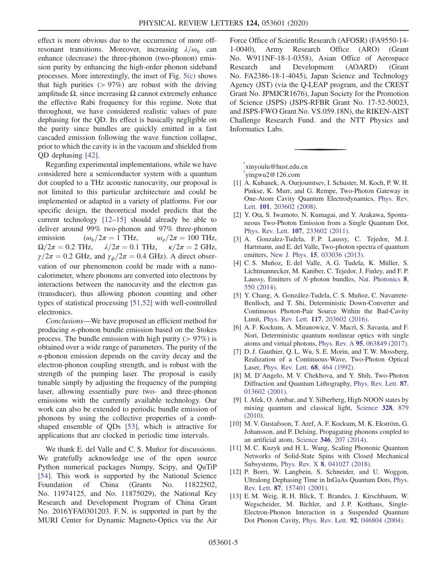effect is more obvious due to the occurrence of more offresonant transitions. Moreover, increasing  $\lambda/\omega_b$  can enhance (decrease) the three-phonon (two-phonon) emission purity by enhancing the high-order phonon sideband processes. More interestingly, the inset of Fig. [5\(c\)](#page-3-1) shows that high purities  $(> 97\%)$  are robust with the driving amplitude  $\Omega$ , since increasing  $\Omega$  cannot extremely enhance the effective Rabi frequency for this regime. Note that throughout, we have considered realistic values of pure dephasing for the QD. Its effect is basically negligible on the purity since bundles are quickly emitted in a fast cascaded emission following the wave function collapse, prior to which the cavity is in the vacuum and shielded from QD dephasing [\[42\].](#page-5-13)

Regarding experimental implementations, while we have considered here a semiconductor system with a quantum dot coupled to a THz acoustic nanocavity, our proposal is not limited to this particular architecture and could be implemented or adapted in a variety of platforms. For our specific design, the theoretical model predicts that the current technology [12–[15\]](#page-4-8) should already be able to deliver around 99% two-phonon and 97% three-phonon emission ( $\omega_b/2\pi = 1$  THz,  $\omega_\sigma/2\pi = 100$  THz,  $\Omega/2\pi = 0.2$  THz,  $\lambda/2\pi = 0.1$  THz,  $\kappa/2\pi = 2$  GHz,  $\lambda/2\pi = 0.1$  THz,  $\kappa/2\pi = 2$  GHz,  $\gamma/2\pi=0.2$  GHz, and  $\gamma_{\phi}/2\pi=0.4$  GHz). A direct observation of our phenomenon could be made with a nanocalorimeter, where phonons are converted into electrons by interactions between the nanocavity and the electron gas (transducer), thus allowing phonon counting and other types of statistical processing [\[51,52\]](#page-6-2) with well-controlled electronics.

Conclusions—We have proposed an efficient method for producing n-phonon bundle emission based on the Stokes process. The bundle emission with high purity  $(> 97\%)$  is obtained over a wide range of parameters. The purity of the  $n$ -phonon emission depends on the cavity decay and the electron-phonon coupling strength, and is robust with the strength of the pumping laser. The proposal is easily tunable simply by adjusting the frequency of the pumping laser, allowing essentially pure two- and three-phonon emissions with the currently available technology. Our work can also be extended to periodic bundle emission of phonons by using the collective properties of a combshaped ensemble of QDs [\[53\],](#page-6-3) which is attractive for applications that are clocked in periodic time intervals.

We thank E. del Valle and C. S. Muñoz for discussions. We gratefully acknowledge use of the open source Python numerical packages Numpy, Scipy, and QuTiP [\[54\]](#page-6-4). This work is supported by the National Science Foundation of China (Grants No. 11822502, No. 11974125, and No. 11875029), the National Key Research and Development Program of China Grant No. 2016YFA0301203. F. N. is supported in part by the MURI Center for Dynamic Magneto-Optics via the Air Force Office of Scientific Research (AFOSR) (FA9550-14- 1-0040), Army Research Office (ARO) (Grant No. W911NF-18-1-0358), Asian Office of Aerospace Research and Development (AOARD) (Grant No. FA2386-18-1-4045), Japan Science and Technology Agency (JST) (via the Q-LEAP program, and the CREST Grant No. JPMJCR1676), Japan Society for the Promotion of Science (JSPS) (JSPS-RFBR Grant No. 17-52-50023, and JSPS-FWO Grant No. VS.059.18N), the RIKEN-AIST Challenge Research Fund. and the NTT Physics and Informatics Labs.

<span id="page-4-1"></span><span id="page-4-0"></span>[\\*](#page-0-0) xinyoulu@hust.edu.cn

[†](#page-0-0) yingwu2@126.com

- <span id="page-4-2"></span>[1] A. Kubanek, A. Ourjoumtsev, I. Schuster, M. Koch, P. W. H. Pinkse, K. Murr, and G. Rempe, Two-Photon Gateway in One-Atom Cavity Quantum Electrodynamics, [Phys. Rev.](https://doi.org/10.1103/PhysRevLett.101.203602) Lett. 101[, 203602 \(2008\)](https://doi.org/10.1103/PhysRevLett.101.203602).
- [2] Y. Ota, S. Iwamoto, N. Kumagai, and Y. Arakawa, Spontaneous Two-Photon Emission from a Single Quantum Dot, Phys. Rev. Lett. 107[, 233602 \(2011\).](https://doi.org/10.1103/PhysRevLett.107.233602)
- <span id="page-4-6"></span>[3] A. Gonzalez-Tudela, F. P. Laussy, C. Tejedor, M. J. Hartmann, and E. del Valle, Two-photon spectra of quantum emitters, New J. Phys. 15[, 033036 \(2013\)](https://doi.org/10.1088/1367-2630/15/3/033036).
- [4] C. S. Muñoz, E. del Valle, A. G. Tudela, K. Müller, S. Lichtmannecker, M. Kaniber, C. Tejedor, J. Finley, and F. P. Laussy, Emitters of N-photon bundles, [Nat. Photonics](https://doi.org/10.1038/nphoton.2014.114) 8, [550 \(2014\)](https://doi.org/10.1038/nphoton.2014.114).
- [5] Y. Chang, A. González-Tudela, C. S. Muñoz, C. Navarrete-Benlloch, and T. Shi, Deterministic Down-Converter and Continuous Photon-Pair Source Within the Bad-Cavity Limit, Phys. Rev. Lett. 117[, 203602 \(2016\)](https://doi.org/10.1103/PhysRevLett.117.203602).
- <span id="page-4-3"></span>[6] A. F. Kockum, A. Miranowicz, V. Macrì, S. Savasta, and F. Nori, Deterministic quantum nonlinear optics with single atoms and virtual photons, Phys. Rev. A 95[, 063849 \(2017\).](https://doi.org/10.1103/PhysRevA.95.063849)
- <span id="page-4-4"></span>[7] D. J. Gauthier, Q. L. Wu, S. E. Morin, and T. W. Mossberg, Realization of a Continuous-Wave, Two-Photon Optical Laser, [Phys. Rev. Lett.](https://doi.org/10.1103/PhysRevLett.68.464) 68, 464 (1992).
- <span id="page-4-5"></span>[8] M. D'Angelo, M. V. Chekhova, and Y. Shih, Two-Photon Diffraction and Quantum Lithography, [Phys. Rev. Lett.](https://doi.org/10.1103/PhysRevLett.87.013602) 87, [013602 \(2001\).](https://doi.org/10.1103/PhysRevLett.87.013602)
- <span id="page-4-7"></span>[9] I. Afek, O. Ambar, and Y. Silberberg, High-NOON states by mixing quantum and classical light, [Science](https://doi.org/10.1126/science.1188172) 328, 879 [\(2010\).](https://doi.org/10.1126/science.1188172)
- [10] M. V. Gustafsson, T. Aref, A. F. Kockum, M. K. Ekström, G. Johansson, and P. Delsing, Propagating phonons coupled to an artificial atom, Science 346[, 207 \(2014\).](https://doi.org/10.1126/science.1257219)
- <span id="page-4-8"></span>[11] M. C. Kuzyk and H. L. Wang, Scaling Phononic Quantum Networks of Solid-State Spins with Closed Mechanical Subsystems, Phys. Rev. X 8[, 041027 \(2018\).](https://doi.org/10.1103/PhysRevX.8.041027)
- [12] P. Borri, W. Langbein, S. Schneider, and U. Woggon, Ultralong Dephasing Time in InGaAs Quantum Dots, [Phys.](https://doi.org/10.1103/PhysRevLett.87.157401) Rev. Lett. 87[, 157401 \(2001\).](https://doi.org/10.1103/PhysRevLett.87.157401)
- [13] E. M. Weig, R. H. Blick, T. Brandes, J. Kirschbaum, W. Wegscheider, M. Bichler, and J. P. Kotthaus, Single-Electron-Phonon Interaction in a Suspended Quantum Dot Phonon Cavity, Phys. Rev. Lett. 92[, 046804 \(2004\)](https://doi.org/10.1103/PhysRevLett.92.046804).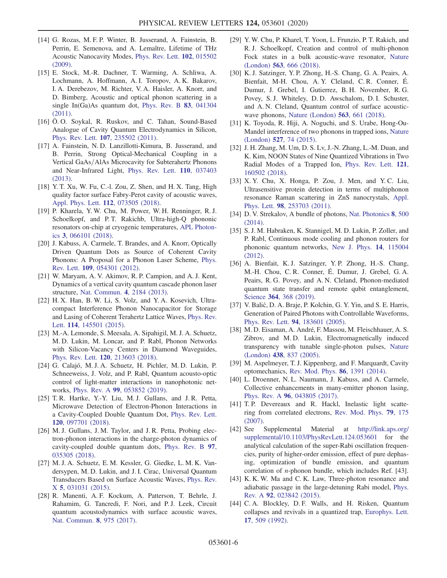- [14] G. Rozas, M. F. P. Winter, B. Jusserand, A. Fainstein, B. Perrin, E. Semenova, and A. Lemaître, Lifetime of THz Acoustic Nanocavity Modes, [Phys. Rev. Lett.](https://doi.org/10.1103/PhysRevLett.102.015502) 102, 015502 [\(2009\).](https://doi.org/10.1103/PhysRevLett.102.015502)
- [15] E. Stock, M.-R. Dachner, T. Warming, A. Schliwa, A. Lochmann, A. Hoffmann, A. I. Toropov, A. K. Bakarov, I. A. Derebezov, M. Richter, V. A. Haisler, A. Knorr, and D. Bimberg, Acoustic and optical phonon scattering in a single In(Ga)As quantum dot, [Phys. Rev. B](https://doi.org/10.1103/PhysRevB.83.041304) 83, 041304 [\(2011\).](https://doi.org/10.1103/PhysRevB.83.041304)
- [16] Ö. O. Soykal, R. Ruskov, and C. Tahan, Sound-Based Analogue of Cavity Quantum Electrodynamics in Silicon, Phys. Rev. Lett. 107[, 235502 \(2011\).](https://doi.org/10.1103/PhysRevLett.107.235502)
- [17] A. Fainstein, N. D. Lanzillotti-Kimura, B. Jusserand, and B. Perrin, Strong Optical-Mechanical Coupling in a Vertical GaAs/AlAs Microcavity for Subterahertz Phonons and Near-Infrared Light, [Phys. Rev. Lett.](https://doi.org/10.1103/PhysRevLett.110.037403) 110, 037403 [\(2013\).](https://doi.org/10.1103/PhysRevLett.110.037403)
- [18] Y. T. Xu, W. Fu, C.-l. Zou, Z. Shen, and H. X. Tang, High quality factor surface Fabry-Perot cavity of acoustic waves, [Appl. Phys. Lett.](https://doi.org/10.1063/1.5013161) 112, 073505 (2018).
- [19] P. Kharela, Y. W. Chu, M. Power, W. H. Renninger, R. J. Schoelkopf, and P. T. Rakichb, Ultra-high-Q phononic resonators on-chip at cryogenic temperatures, [APL Photon](https://doi.org/10.1063/1.5026798)ics 3[, 066101 \(2018\).](https://doi.org/10.1063/1.5026798)
- <span id="page-5-0"></span>[20] J. Kabuss, A. Carmele, T. Brandes, and A. Knorr, Optically Driven Quantum Dots as Source of Coherent Cavity Phonons: A Proposal for a Phonon Laser Scheme, [Phys.](https://doi.org/10.1103/PhysRevLett.109.054301) Rev. Lett. 109[, 054301 \(2012\).](https://doi.org/10.1103/PhysRevLett.109.054301)
- [21] W. Maryam, A. V. Akimov, R. P. Campion, and A. J. Kent, Dynamics of a vertical cavity quantum cascade phonon laser structure, [Nat. Commun.](https://doi.org/10.1038/ncomms3184) 4, 2184 (2013).
- [22] H. X. Han, B. W. Li, S. Volz, and Y. A. Kosevich, Ultracompact Interference Phonon Nanocapacitor for Storage and Lasing of Coherent Terahertz Lattice Waves, [Phys. Rev.](https://doi.org/10.1103/PhysRevLett.114.145501) Lett. 114[, 145501 \(2015\)](https://doi.org/10.1103/PhysRevLett.114.145501).
- <span id="page-5-1"></span>[23] M.-A. Lemonde, S. Meesala, A. Sipahigil, M. J. A. Schuetz, M. D. Lukin, M. Loncar, and P. Rabl, Phonon Networks with Silicon-Vacancy Centers in Diamond Waveguides, Phys. Rev. Lett. 120[, 213603 \(2018\).](https://doi.org/10.1103/PhysRevLett.120.213603)
- [24] G. Calajó, M. J. A. Schuetz, H. Pichler, M. D. Lukin, P. Schneeweiss, J. Volz, and P. Rabl, Quantum acousto-optic control of light-matter interactions in nanophotonic networks, Phys. Rev. A 99[, 053852 \(2019\)](https://doi.org/10.1103/PhysRevA.99.053852).
- <span id="page-5-2"></span>[25] T.R. Hartke, Y.-Y. Liu, M.J. Gullans, and J.R. Petta, Microwave Detection of Electron-Phonon Interactions in a Cavity-Coupled Double Quantum Dot, [Phys. Rev. Lett.](https://doi.org/10.1103/PhysRevLett.120.097701) 120[, 097701 \(2018\).](https://doi.org/10.1103/PhysRevLett.120.097701)
- [26] M. J. Gullans, J. M. Taylor, and J. R. Petta, Probing electron-phonon interactions in the charge-photon dynamics of cavity-coupled double quantum dots, [Phys. Rev. B](https://doi.org/10.1103/PhysRevB.97.035305) 97, [035305 \(2018\).](https://doi.org/10.1103/PhysRevB.97.035305)
- <span id="page-5-3"></span>[27] M. J. A. Schuetz, E. M. Kessler, G. Giedke, L. M. K. Vandersypen, M. D. Lukin, and J. I. Cirac, Universal Quantum Transducers Based on Surface Acoustic Waves, [Phys. Rev.](https://doi.org/10.1103/PhysRevX.5.031031) X 5[, 031031 \(2015\)](https://doi.org/10.1103/PhysRevX.5.031031).
- [28] R. Manenti, A. F. Kockum, A. Patterson, T. Behrle, J. Rahamim, G. Tancredi, F. Nori, and P. J. Leek, Circuit quantum acoustodynamics with surface acoustic waves, [Nat. Commun.](https://doi.org/10.1038/s41467-017-01063-9) 8, 975 (2017).
- <span id="page-5-4"></span>[29] Y. W. Chu, P. Kharel, T. Yoon, L. Frunzio, P. T. Rakich, and R. J. Schoelkopf, Creation and control of multi-phonon Fock states in a bulk acoustic-wave resonator, [Nature](https://doi.org/10.1038/s41586-018-0717-7) (London) 563[, 666 \(2018\)](https://doi.org/10.1038/s41586-018-0717-7).
- [30] K. J. Satzinger, Y. P. Zhong, H.-S. Chang, G. A. Peairs, A. Bienfait, M-H. Chou, A. Y. Cleland, C. R. Conner, É. Dumur, J. Grebel, I. Gutierrez, B. H. November, R. G. Povey, S. J. Whiteley, D. D. Awschalom, D. I. Schuster, and A. N. Cleland, Quantum control of surface acousticwave phonons, [Nature \(London\)](https://doi.org/10.1038/s41586-018-0719-5) 563, 661 (2018).
- <span id="page-5-5"></span>[31] K. Toyoda, R. Hiji, A. Noguchi, and S. Urabe, Hong-Ou-Mandel interference of two phonons in trapped ions, [Nature](https://doi.org/10.1038/nature15735) (London) 527[, 74 \(2015\).](https://doi.org/10.1038/nature15735)
- [32] J. H. Zhang, M. Um, D. S. Lv, J.-N. Zhang, L.-M. Duan, and K. Kim, NOON States of Nine Quantized Vibrations in Two Radial Modes of a Trapped Ion, [Phys. Rev. Lett.](https://doi.org/10.1103/PhysRevLett.121.160502) 121, [160502 \(2018\).](https://doi.org/10.1103/PhysRevLett.121.160502)
- <span id="page-5-6"></span>[33] X. Y. Chu, X. Honga, P. Zou, J. Men, and Y. C. Liu, Ultrasensitive protein detection in terms of multiphonon resonance Raman scattering in ZnS nanocrystals, [Appl.](https://doi.org/10.1063/1.3601917) Phys. Lett. 98[, 253703 \(2011\).](https://doi.org/10.1063/1.3601917)
- <span id="page-5-8"></span><span id="page-5-7"></span>[34] D. V. Strekalov, A bundle of photons, [Nat. Photonics](https://doi.org/10.1038/nphoton.2014.144) 8, 500 [\(2014\).](https://doi.org/10.1038/nphoton.2014.144)
- [35] S. J. M. Habraken, K. Stannigel, M. D. Lukin, P. Zoller, and P. Rabl, Continuous mode cooling and phonon routers for phononic quantum networks, [New J. Phys.](https://doi.org/10.1088/1367-2630/14/11/115004) 14, 115004 [\(2012\).](https://doi.org/10.1088/1367-2630/14/11/115004)
- [36] A. Bienfait, K. J. Satzinger, Y. P. Zhong, H.-S. Chang, M.-H. Chou, C. R. Conner, É. Dumur, J. Grebel, G. A. Peairs, R. G. Povey, and A. N. Cleland, Phonon-mediated quantum state transfer and remote qubit entanglement, Science 364[, 368 \(2019\)](https://doi.org/10.1126/science.aaw8415).
- <span id="page-5-9"></span>[37] V. Balić, D. A. Braje, P. Kolchin, G. Y. Yin, and S. E. Harris, Generation of Paired Photons with Controllable Waveforms, Phys. Rev. Lett. 94[, 183601 \(2005\)](https://doi.org/10.1103/PhysRevLett.94.183601).
- <span id="page-5-10"></span>[38] M. D. Eisaman, A. André, F. Massou, M. Fleischhauer, A. S. Zibrov, and M. D. Lukin, Electromagnetically induced transparency with tunable single-photon pulses, [Nature](https://doi.org/10.1038/nature04327) (London) 438[, 837 \(2005\)](https://doi.org/10.1038/nature04327).
- <span id="page-5-12"></span><span id="page-5-11"></span>[39] M. Aspelmeyer, T. J. Kippenberg, and F. Marquardt, Cavity optomechanics, [Rev. Mod. Phys.](https://doi.org/10.1103/RevModPhys.86.1391) 86, 1391 (2014).
- [40] L. Droenner, N. L. Naumann, J. Kabuss, and A. Carmele, Collective enhancements in many-emitter phonon lasing, Phys. Rev. A 96[, 043805 \(2017\)](https://doi.org/10.1103/PhysRevA.96.043805).
- <span id="page-5-13"></span>[41] T. P. Devereaux and R. Hackl, Inelastic light scattering from correlated electrons, [Rev. Mod. Phys.](https://doi.org/10.1103/RevModPhys.79.175) 79, 175 [\(2007\).](https://doi.org/10.1103/RevModPhys.79.175)
- [42] See Supplemental Material at [http://link.aps.org/](http://link.aps.org/supplemental/10.1103/PhysRevLett.124.053601) [supplemental/10.1103/PhysRevLett.124.053601](http://link.aps.org/supplemental/10.1103/PhysRevLett.124.053601) for the analytical calculation of the super-Rabi oscillation frequencies, purity of higher-order emission, effect of pure dephasing, optimization of bundle emission, and quantum correlation of n-phonon bundle, which includes Ref. [43].
- <span id="page-5-14"></span>[43] K. K. W. Ma and C. K. Law, Three-photon resonance and adiabatic passage in the large-detuning Rabi model, [Phys.](https://doi.org/10.1103/PhysRevA.92.023842) Rev. A 92[, 023842 \(2015\)](https://doi.org/10.1103/PhysRevA.92.023842).
- [44] C. A. Blockley, D. F. Walls, and H. Risken, Quantum collapses and revivals in a quantized trap, [Europhys. Lett.](https://doi.org/10.1209/0295-5075/17/6/006) 17[, 509 \(1992\).](https://doi.org/10.1209/0295-5075/17/6/006)